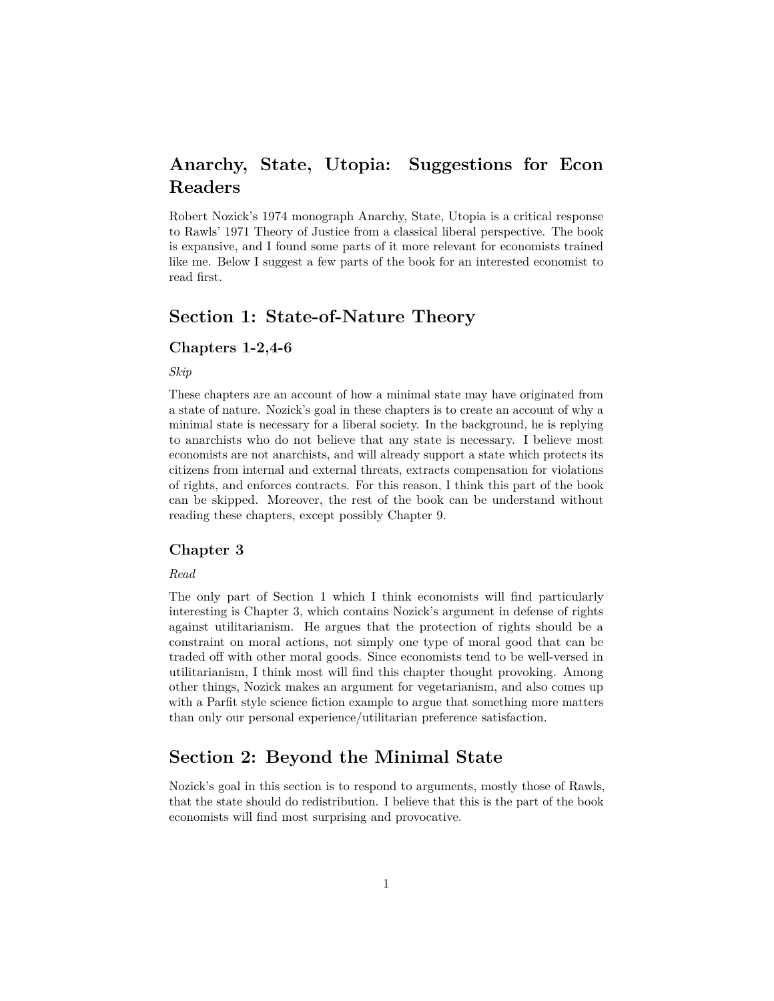# **Anarchy, State, Utopia: Suggestions for Econ Readers**

Robert Nozick's 1974 monograph Anarchy, State, Utopia is a critical response to Rawls' 1971 Theory of Justice from a classical liberal perspective. The book is expansive, and I found some parts of it more relevant for economists trained like me. Below I suggest a few parts of the book for an interested economist to read first.

# **Section 1: State-of-Nature Theory**

## **Chapters 1-2,4-6**

*Skip*

These chapters are an account of how a minimal state may have originated from a state of nature. Nozick's goal in these chapters is to create an account of why a minimal state is necessary for a liberal society. In the background, he is replying to anarchists who do not believe that any state is necessary. I believe most economists are not anarchists, and will already support a state which protects its citizens from internal and external threats, extracts compensation for violations of rights, and enforces contracts. For this reason, I think this part of the book can be skipped. Moreover, the rest of the book can be understand without reading these chapters, except possibly Chapter 9.

### **Chapter 3**

#### *Read*

The only part of Section 1 which I think economists will find particularly interesting is Chapter 3, which contains Nozick's argument in defense of rights against utilitarianism. He argues that the protection of rights should be a constraint on moral actions, not simply one type of moral good that can be traded off with other moral goods. Since economists tend to be well-versed in utilitarianism, I think most will find this chapter thought provoking. Among other things, Nozick makes an argument for vegetarianism, and also comes up with a Parfit style science fiction example to argue that something more matters than only our personal experience/utilitarian preference satisfaction.

## **Section 2: Beyond the Minimal State**

Nozick's goal in this section is to respond to arguments, mostly those of Rawls, that the state should do redistribution. I believe that this is the part of the book economists will find most surprising and provocative.